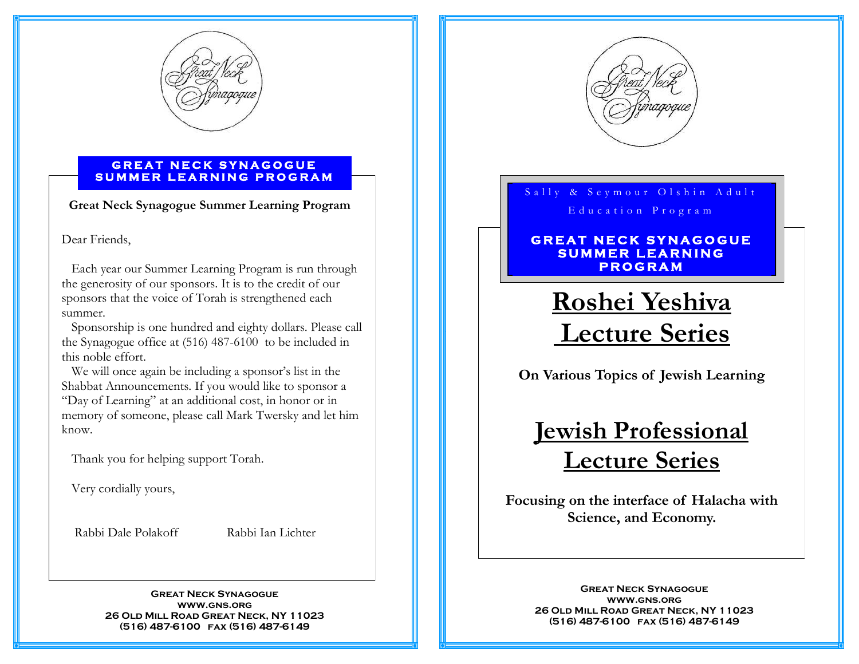

#### **G R E A T N E C K S Y N A G O G U E S U M M E R L E A R N I N G P R O G R A M**

**Great Neck Synagogue Summer Learning Program** 

#### Dear Friends,

 Each year our Summer Learning Program is run through the generosity of our sponsors. It is to the credit of our sponsors that the voice of Torah is strengthened each summer.

 Sponsorship is one hundred and eighty dollars. Please call the Synagogue office at (516) 487-6100 to be included in this noble effort.

 We will once again be including a sponsor's list in the Shabbat Announcements. If you would like to sponsor a "Day of Learning" at an additional cost, in honor or in memory of someone, please call Mark Twersky and let him know.

Thank you for helping support Torah.

Very cordially yours,

Rabbi Dale Polakoff Rabbi Ian Lichter

**Great Neck Synagogue www.gns.org 26 Old Mill Road Great Neck, NY 11023 (516) 487-6100 fax (516) 487-6149** 



# Sally & Seymour Olshin Adult Education Program

### **G R E A T N E C K S Y N A G O G U E**   $SUMMER$  LEARNING **P R O G R A M**

# **Roshei Yeshiva Lecture Series**

**On Various Topics of Jewish Learning** 

# **Jewish Professional Lecture Series**

**Focusing on the interface of Halacha with Science, and Economy.** 

> **Great Neck Synagogue www.gns.org 26 Old Mill Road Great Neck, NY 11023 (516) 487-6100 fax (516) 487-6149**